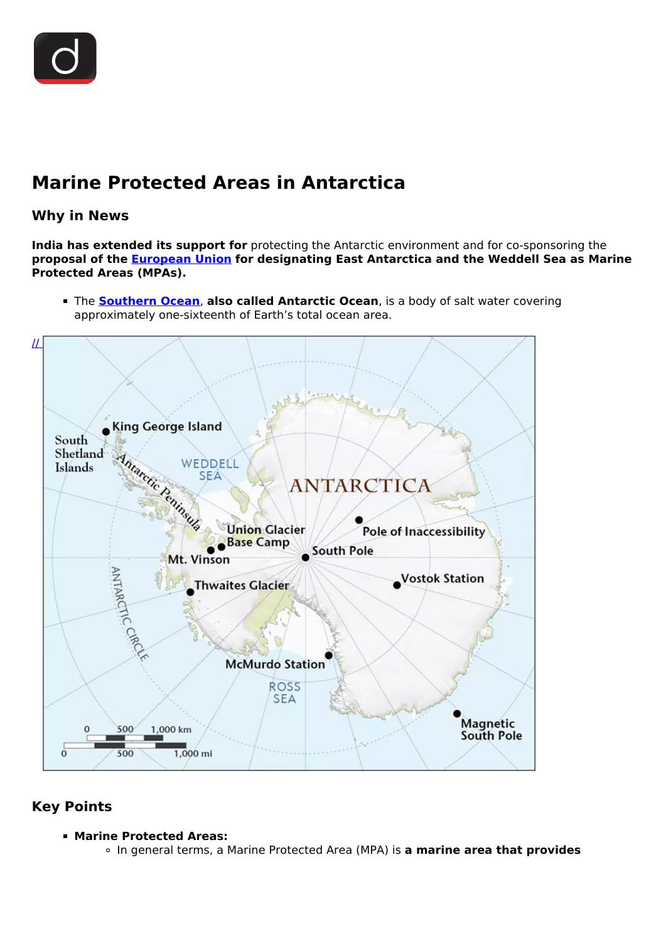# **Marine Protected Areas in Antarctica**

### **Why in News**

**India has extended its support for** protecting the Antarctic environment and for co-sponsoring the **proposal of the [European Union](/important-institutions/drishti-specials-important-institutions-international-institution/european-union) for designating East Antarctica and the Weddell Sea as Marine Protected Areas (MPAs).**

The **[Southern Ocean](/daily-updates/daily-news-analysis/southern-ocean-1)**, **also called Antarctic Ocean**, is a body of salt water covering approximately one-sixteenth of Earth's total ocean area.



## **Key Points**

#### **Marine Protected Areas:**

In general terms, a Marine Protected Area (MPA) is **a marine area that provides**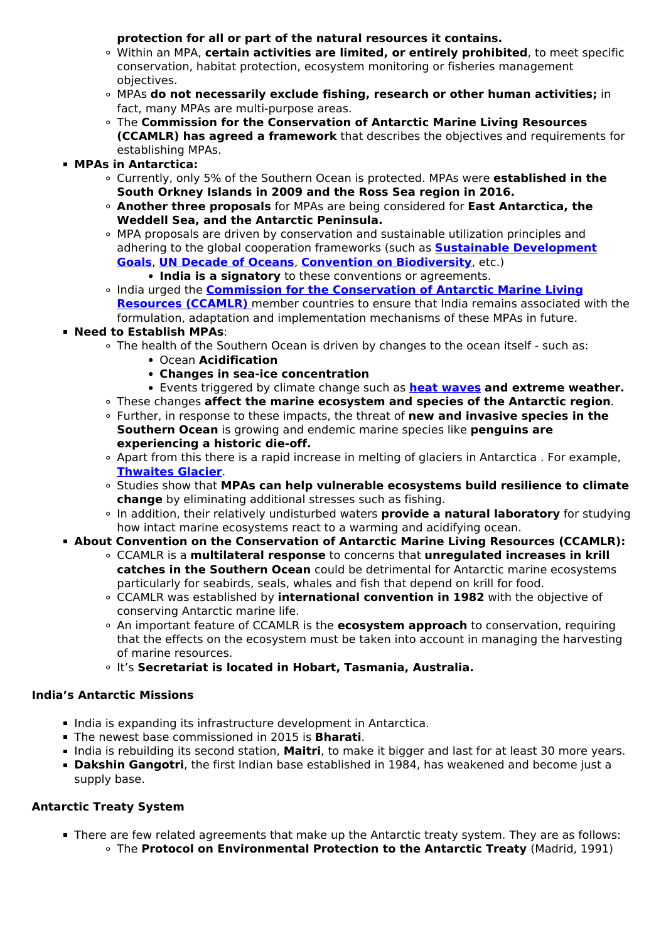**protection for all or part of the natural resources it contains.**

- Within an MPA, **certain activities are limited, or entirely prohibited**, to meet specific conservation, habitat protection, ecosystem monitoring or fisheries management objectives.
- MPAs **do not necessarily exclude fishing, research or other human activities;** in fact, many MPAs are multi-purpose areas.
- The **Commission for the Conservation of Antarctic Marine Living Resources (CCAMLR) has agreed a framework** that describes the objectives and requirements for establishing MPAs.
- **MPAs in Antarctica:**
	- Currently, only 5% of the Southern Ocean is protected. MPAs were **established in the South Orkney Islands in 2009 and the Ross Sea region in 2016.**
	- **Another three proposals** for MPAs are being considered for **East Antarctica, the Weddell Sea, and the Antarctic Peninsula.**
	- MPA proposals are driven by conservation and sustainable utilization principles and adhering to the global cooperation frameworks (such as **[Sustainable Development](/to-the-points/paper3/sustainable-development-3) [Goals](/to-the-points/paper3/sustainable-development-3)**, **[UN Decade of Oceans](/daily-updates/daily-news-analysis/international-day-for-biological-diversity)**, **[Convention on Biodiversity](/daily-updates/daily-news-analysis/post-2020-global-biodiversity-framework#:~:text=The%20Convention%20on%20Biological%20Diversity,It%20has%203%20main%20objectives%3A&text=The%20sustainable%20use%20of%20the,the%20utilization%20of%20genetic%20resources.)**, etc.)
		- **India is a signatory** to these conventions or agreements.
	- o India urged the **[Commission for the Conservation of Antarctic Marine Living](/daily-updates/daily-news-analysis/antarctic-ocean-sanctuary) [Resources \(CCAMLR\)](/daily-updates/daily-news-analysis/antarctic-ocean-sanctuary)** [m](/daily-updates/daily-news-analysis/antarctic-ocean-sanctuary)ember countries to ensure that India remains associated with the formulation, adaptation and implementation mechanisms of these MPAs in future.
- **Need to Establish MPAs**:
	- The health of the Southern Ocean is driven by changes to the ocean itself such as:
		- Ocean **Acidification**
		- **Changes in sea-ice concentration**
		- Events triggered by climate change such as **[heat waves](/daily-updates/daily-news-analysis/heat-waves) and extreme weather.**
	- These changes **affect the marine ecosystem and species of the Antarctic region**.
	- Further, in response to these impacts, the threat of **new and invasive species in the Southern Ocean** is growing and endemic marine species like **penguins are experiencing a historic die-off.**
	- Apart from this there is a rapid increase in melting of glaciers in Antarctica . For example, **[Thwaites Glacier](/daily-updates/daily-news-analysis/melting-of-thwaites-glacier)**.
	- Studies show that **MPAs can help vulnerable ecosystems build resilience to climate change** by eliminating additional stresses such as fishing.
	- In addition, their relatively undisturbed waters **provide a natural laboratory** for studying how intact marine ecosystems react to a warming and acidifying ocean.
- **About Convention on the Conservation of Antarctic Marine Living Resources (CCAMLR):**
	- CCAMLR is a **multilateral response** to concerns that **unregulated increases in krill catches in the Southern Ocean** could be detrimental for Antarctic marine ecosystems particularly for seabirds, seals, whales and fish that depend on krill for food.
	- CCAMLR was established by **international convention in 1982** with the objective of conserving Antarctic marine life.
	- An important feature of CCAMLR is the **ecosystem approach** to conservation, requiring that the effects on the ecosystem must be taken into account in managing the harvesting of marine resources.
	- It's **Secretariat is located in Hobart, Tasmania, Australia.**

#### **India's Antarctic Missions**

- India is expanding its infrastructure development in Antarctica.
- The newest base commissioned in 2015 is **Bharati**.
- India is rebuilding its second station, Maitri, to make it bigger and last for at least 30 more years.
- **Dakshin Gangotri**, the first Indian base established in 1984, has weakened and become just a supply base.

#### **Antarctic Treaty System**

There are few related agreements that make up the Antarctic treaty system. They are as follows: The **Protocol on Environmental Protection to the Antarctic Treaty** (Madrid, 1991)